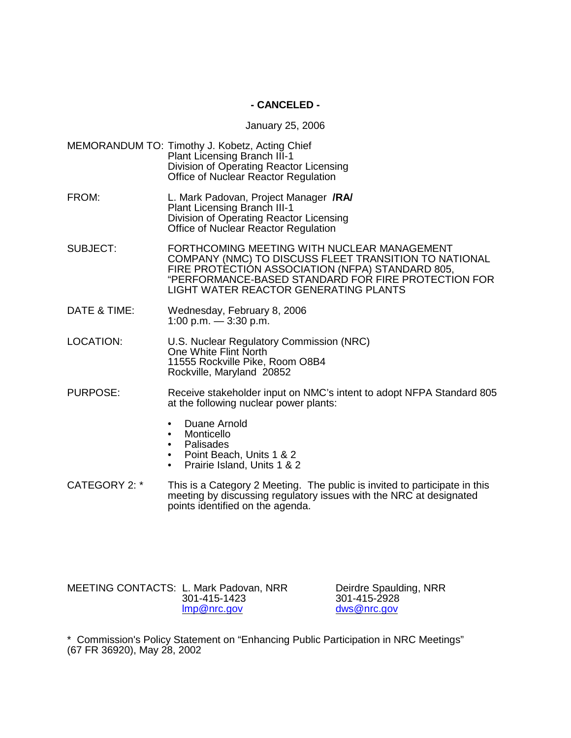## **- CANCELED -**

#### January 25, 2006

- MEMORANDUM TO: Timothy J. Kobetz, Acting Chief Plant Licensing Branch III-1 Division of Operating Reactor Licensing Office of Nuclear Reactor Regulation
- FROM: L. Mark Padovan, Project Manager **/RA/** Plant Licensing Branch III-1 Division of Operating Reactor Licensing Office of Nuclear Reactor Regulation
- SUBJECT: FORTHCOMING MEETING WITH NUCLEAR MANAGEMENT COMPANY (NMC) TO DISCUSS FLEET TRANSITION TO NATIONAL FIRE PROTECTION ASSOCIATION (NFPA) STANDARD 805, "PERFORMANCE-BASED STANDARD FOR FIRE PROTECTION FOR LIGHT WATER REACTOR GENERATING PLANTS
- DATE & TIME: Wednesday, February 8, 2006 1:00 p.m.  $-$  3:30 p.m.
- LOCATION: U.S. Nuclear Regulatory Commission (NRC) One White Flint North 11555 Rockville Pike, Room O8B4 Rockville, Maryland 20852
- PURPOSE: Receive stakeholder input on NMC's intent to adopt NFPA Standard 805 at the following nuclear power plants:
	- Duane Arnold
	- Monticello
	- Palisades
	- Point Beach, Units 1 & 2
	- Prairie Island, Units 1 & 2
- CATEGORY 2: \* This is a Category 2 Meeting. The public is invited to participate in this meeting by discussing regulatory issues with the NRC at designated points identified on the agenda.

MEETING CONTACTS: L. Mark Padovan, NRR Deirdre Spaulding, NRR<br>301-415-1423 301-415-2928 301-415-1423<br>Imp@nrc.gov

dws@nrc.gov

\* Commission's Policy Statement on "Enhancing Public Participation in NRC Meetings" (67 FR 36920), May 28, 2002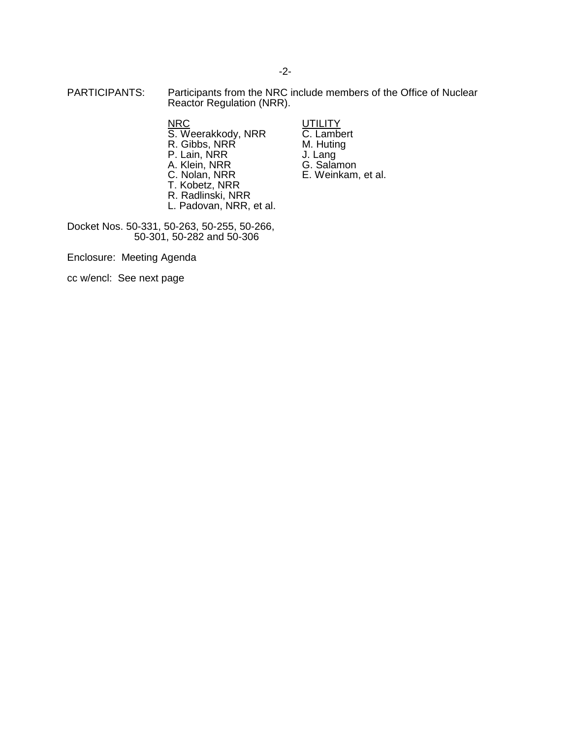PARTICIPANTS: Participants from the NRC include members of the Office of Nuclear Reactor Regulation (NRR).

> NRC UTILITY S. Weerakkody, NRR C. Lambert R. Gibbs, NRR M. Huting **NRC S. Weerakkody, NRR C. Lambert<br>
> R. Gibbs, NRR M. Huting<br>
> P. Lain, NRR J. Lang<br>
> A. Klein, NRR G. Salamon** A. Klein, NRR<br>C. Nolan, NRR T. Kobetz, NRR

R. Radlinski, NRR

- 
- E. Weinkam, et al.
- L. Padovan, NRR, et al. Docket Nos. 50-331, 50-263, 50-255, 50-266,

50-301, 50-282 and 50-306

Enclosure: Meeting Agenda

cc w/encl: See next page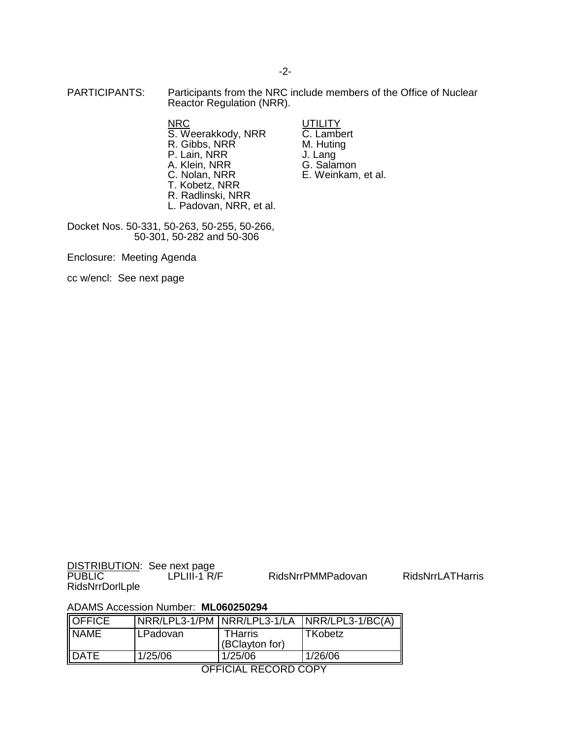PARTICIPANTS: Participants from the NRC include members of the Office of Nuclear Reactor Regulation (NRR).

> **NRC**<br>
> S. Weerakkody, NRR **C.** Lambert S. Weerakkody, NRR C. Lamber<br>R. Gibbs, NRR M. Huting R. Gibbs, NRR<sup>(1944</sup> M. Huting, N. Huting, N. H. 2014)<br>P. Lain, NRR(1945) U. Lang P. Lain, NRR<br>
> A. Klein, NRR
> a. G. Salamon A. Klein, NRR<br>C. Nolan, NRR T. Kobetz, NRR R. Radlinski, NRR

L. Padovan, NRR, et al.

- 
- E. Weinkam, et al.

Docket Nos. 50-331, 50-263, 50-255, 50-266, 50-301, 50-282 and 50-306

Enclosure: Meeting Agenda

cc w/encl: See next page

DISTRIBUTION: See next page<br>PUBLIC LPLIII-1 R/F RidsNrrDorlLple

RidsNrrPMMPadovan RidsNrrLATHarris

#### ADAMS Accession Number: **ML060250294**

| <b>OFFICE</b> |          |                           | NRR/LPL3-1/PM NRR/LPL3-1/LA NRR/LPL3-1/BC(A) |
|---------------|----------|---------------------------|----------------------------------------------|
| <b>NAME</b>   | LPadovan | THarris<br>(BClayton for) | TKobetz                                      |
| <b>IDATE</b>  | 1/25/06  | 1/25/06                   | 1/26/06                                      |

OFFICIAL RECORD COPY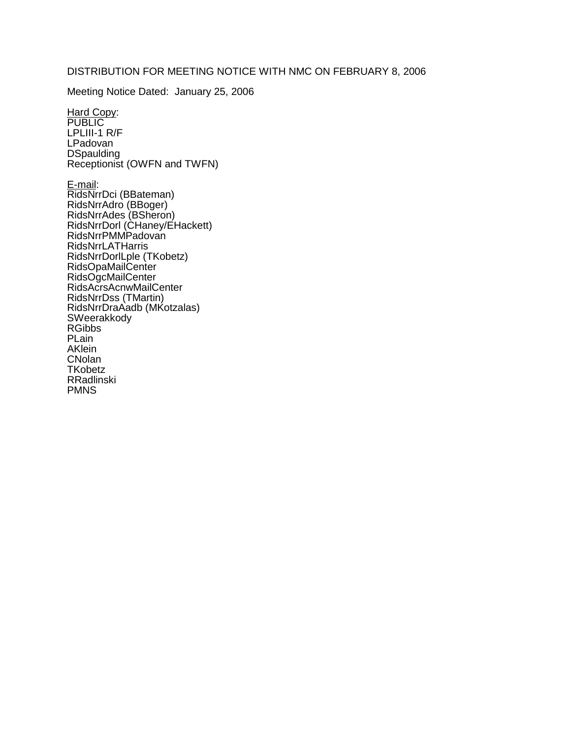## DISTRIBUTION FOR MEETING NOTICE WITH NMC ON FEBRUARY 8, 2006

Meeting Notice Dated: January 25, 2006

Hard Copy: PUBLIC LPLIII-1 R/F LPadovan **DSpaulding** Receptionist (OWFN and TWFN)

E-mail: RidsNrrDci (BBateman) RidsNrrAdro (BBoger) RidsNrrAdes (BSheron) RidsNrrDorl (CHaney/EHackett) RidsNrrPMMPadovan RidsNrrLATHarris RidsNrrDorlLple (TKobetz) RidsOpaMailCenter RidsOgcMailCenter RidsAcrsAcnwMailCenter RidsNrrDss (TMartin) RidsNrrDraAadb (MKotzalas) **SWeerakkody** RGibbs PLain AKlein **CNolan TKobetz** RRadlinski PMNS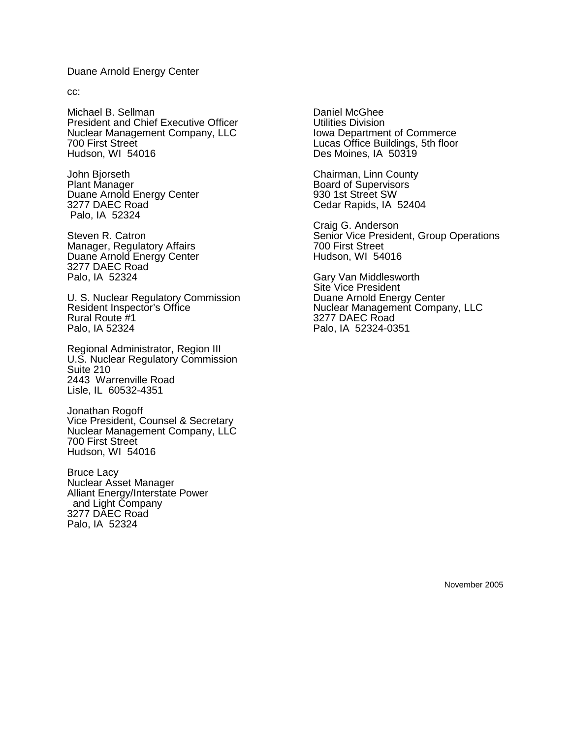#### Duane Arnold Energy Center

cc:

Michael B. Sellman President and Chief Executive Officer Nuclear Management Company, LLC 700 First Street Hudson, WI 54016

John Bjorseth Plant Manager Duane Arnold Energy Center 3277 DAEC Road Palo, IA 52324

Steven R. Catron Manager, Regulatory Affairs Duane Arnold Energy Center 3277 DAEC Road Palo, IA 52324

U. S. Nuclear Regulatory Commission Resident Inspector's Office Rural Route #1 Palo, IA 52324

Regional Administrator, Region III U.S. Nuclear Regulatory Commission Suite 210 2443 Warrenville Road Lisle, IL 60532-4351

Jonathan Rogoff Vice President, Counsel & Secretary Nuclear Management Company, LLC 700 First Street Hudson, WI 54016

Bruce Lacy Nuclear Asset Manager Alliant Energy/Interstate Power and Light Company 3277 DAEC Road Palo, IA 52324

Daniel McGhee Utilities Division Iowa Department of Commerce Lucas Office Buildings, 5th floor Des Moines, IA 50319

Chairman, Linn County Board of Supervisors 930 1st Street SW Cedar Rapids, IA 52404

Craig G. Anderson Senior Vice President, Group Operations 700 First Street Hudson, WI 54016

Gary Van Middlesworth Site Vice President Duane Arnold Energy Center Nuclear Management Company, LLC 3277 DAEC Road Palo, IA 52324-0351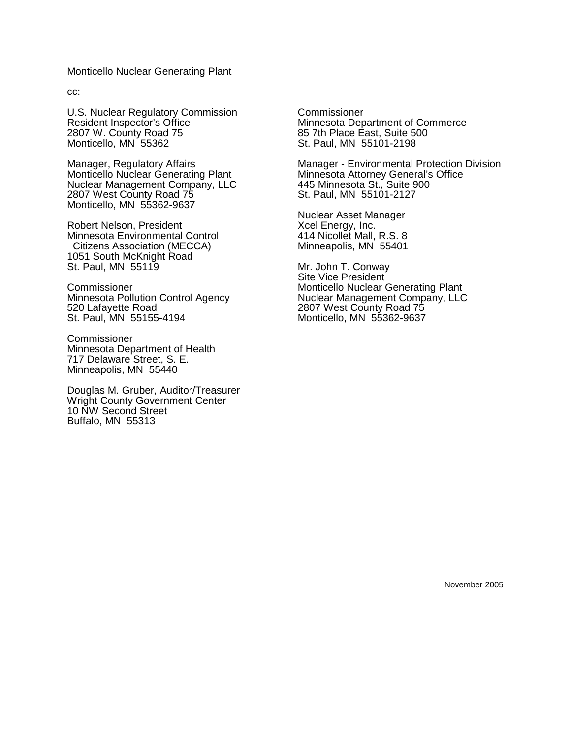Monticello Nuclear Generating Plant

cc:

U.S. Nuclear Regulatory Commission Resident Inspector's Office 2807 W. County Road 75 Monticello, MN 55362

Manager, Regulatory Affairs Monticello Nuclear Generating Plant Nuclear Management Company, LLC 2807 West County Road 75 Monticello, MN 55362-9637

Robert Nelson, President Minnesota Environmental Control Citizens Association (MECCA) 1051 South McKnight Road St. Paul, MN 55119

Commissioner Minnesota Pollution Control Agency 520 Lafayette Road St. Paul, MN 55155-4194

**Commissioner** Minnesota Department of Health 717 Delaware Street, S. E. Minneapolis, MN 55440

Douglas M. Gruber, Auditor/Treasurer Wright County Government Center 10 NW Second Street Buffalo, MN 55313

**Commissioner** Minnesota Department of Commerce 85 7th Place East, Suite 500 St. Paul, MN 55101-2198

Manager - Environmental Protection Division Minnesota Attorney General's Office 445 Minnesota St., Suite 900 St. Paul, MN 55101-2127

Nuclear Asset Manager Xcel Energy, Inc. 414 Nicollet Mall, R.S. 8 Minneapolis, MN 55401

Mr. John T. Conway Site Vice President Monticello Nuclear Generating Plant Nuclear Management Company, LLC 2807 West County Road 75 Monticello, MN 55362-9637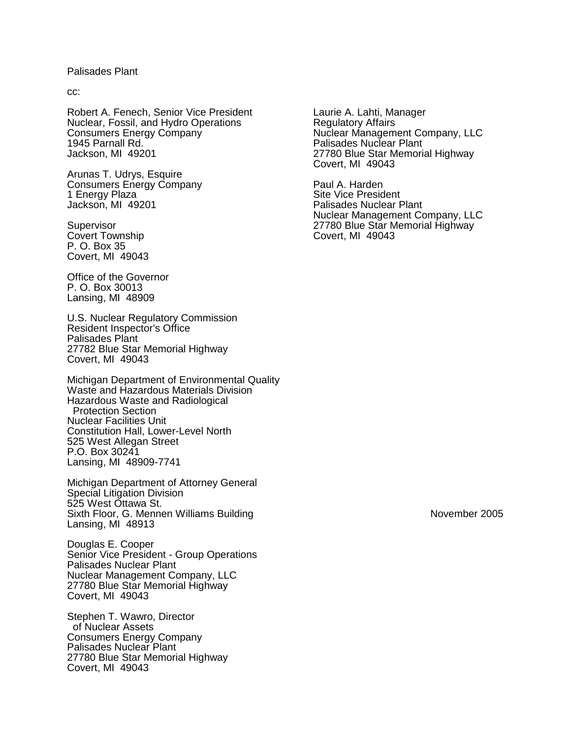## Palisades Plant

cc:

Robert A. Fenech, Senior Vice President Nuclear, Fossil, and Hydro Operations Consumers Energy Company 1945 Parnall Rd. Jackson, MI 49201

Arunas T. Udrys, Esquire Consumers Energy Company 1 Energy Plaza Jackson, MI 49201

**Supervisor** Covert Township P. O. Box 35 Covert, MI 49043

Office of the Governor P. O. Box 30013 Lansing, MI 48909

U.S. Nuclear Regulatory Commission Resident Inspector's Office Palisades Plant 27782 Blue Star Memorial Highway Covert, MI 49043

Michigan Department of Environmental Quality Waste and Hazardous Materials Division Hazardous Waste and Radiological Protection Section Nuclear Facilities Unit Constitution Hall, Lower-Level North 525 West Allegan Street P.O. Box 30241 Lansing, MI 48909-7741

Michigan Department of Attorney General Special Litigation Division 525 West Ottawa St. Sixth Floor, G. Mennen Williams Building Lansing, MI 48913

Douglas E. Cooper Senior Vice President - Group Operations Palisades Nuclear Plant Nuclear Management Company, LLC 27780 Blue Star Memorial Highway Covert, MI 49043

Stephen T. Wawro, Director of Nuclear Assets Consumers Energy Company Palisades Nuclear Plant 27780 Blue Star Memorial Highway Covert, MI 49043

Laurie A. Lahti, Manager Regulatory Affairs Nuclear Management Company, LLC Palisades Nuclear Plant 27780 Blue Star Memorial Highway Covert, MI 49043

Paul A. Harden Site Vice President Palisades Nuclear Plant Nuclear Management Company, LLC 27780 Blue Star Memorial Highway Covert, MI 49043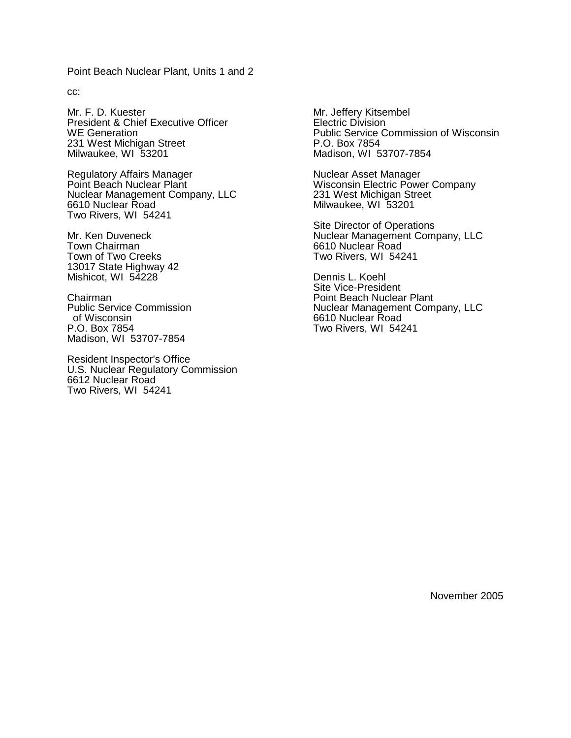Point Beach Nuclear Plant, Units 1 and 2

cc:

Mr. F. D. Kuester President & Chief Executive Officer WE Generation 231 West Michigan Street Milwaukee, WI 53201

Regulatory Affairs Manager Point Beach Nuclear Plant Nuclear Management Company, LLC 6610 Nuclear Road Two Rivers, WI 54241

Mr. Ken Duveneck Town Chairman Town of Two Creeks 13017 State Highway 42 Mishicot, WI 54228

Chairman Public Service Commission of Wisconsin P.O. Box 7854 Madison, WI 53707-7854

Resident Inspector's Office U.S. Nuclear Regulatory Commission 6612 Nuclear Road Two Rivers, WI 54241

Mr. Jeffery Kitsembel Electric Division Public Service Commission of Wisconsin P.O. Box 7854 Madison, WI 53707-7854

Nuclear Asset Manager Wisconsin Electric Power Company 231 West Michigan Street Milwaukee, WI 53201

Site Director of Operations Nuclear Management Company, LLC 6610 Nuclear Road Two Rivers, WI 54241

Dennis L. Koehl Site Vice-President Point Beach Nuclear Plant Nuclear Management Company, LLC 6610 Nuclear Road Two Rivers, WI 54241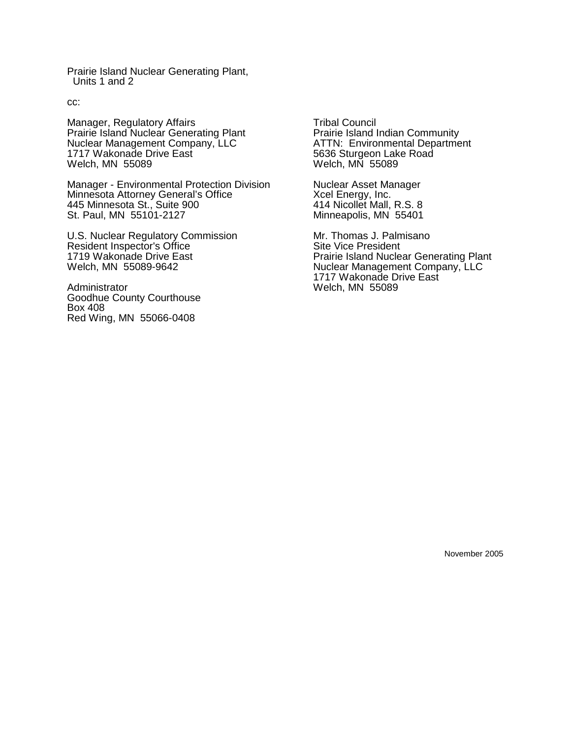Prairie Island Nuclear Generating Plant, Units 1 and 2

cc:

Manager, Regulatory Affairs Prairie Island Nuclear Generating Plant Nuclear Management Company, LLC 1717 Wakonade Drive East Welch, MN 55089

Manager - Environmental Protection Division Minnesota Attorney General's Office 445 Minnesota St., Suite 900 St. Paul, MN 55101-2127

U.S. Nuclear Regulatory Commission Resident Inspector's Office 1719 Wakonade Drive East Welch, MN 55089-9642

Administrator Goodhue County Courthouse Box 408 Red Wing, MN 55066-0408

Tribal Council Prairie Island Indian Community ATTN: Environmental Department 5636 Sturgeon Lake Road Welch, MN 55089

Nuclear Asset Manager Xcel Energy, Inc. 414 Nicollet Mall, R.S. 8 Minneapolis, MN 55401

Mr. Thomas J. Palmisano Site Vice President Prairie Island Nuclear Generating Plant Nuclear Management Company, LLC 1717 Wakonade Drive East Welch, MN 55089